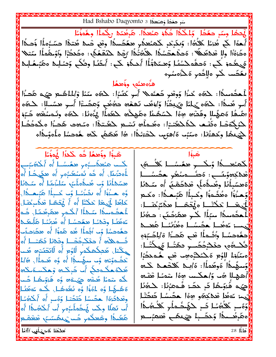## Had Bshabo Daqyomto 3 مُغْطُ وَهِنْعِجُا

لْمَحْفَا وِمَدٍ حَمَّحًا ۖ وَلَمْكُلًا حُكَّوْ عِنْعَجًا. هَٰزِعُبَكَ رَجَّحَلًا ۖ وِهُوَوُمُا أَهْدًا ﴾ هُزئا ﷺ: وَبِكَبْدِ كَعِنْعِدُرٍ مِعَجَبِيدًا وَهِي صُبْ هُتِدًا حِبَّةٍ أَوْحِدًا هَجَرْهُ! ولِلْ شَهْقَدِيَا : هَدَهُـمَدَـمُدُا حَدَّقُتُمَا رَجْمٍ حَدَّمَكُو : هَجَدَ بَهْ وَوَجَدْهَا حَمْد |كَيِحْدَهْ لِّكَ : كَصْفَحْسُنُا وَمِسْكَمْتُلَا أَحْكَمْ كَبِ : أَمْثَلًا وِثَكَّ وَصْلِحْ مَثْرُهُابِ ىمّْكَىپ كُر ەلائىمر ەَڭەمئىر ،

## فأوهثم وؤهما

أَهدُه مِيكًا: لِحَوَّه كَيُرًا وَوِقْدٍ دَهَدُهِ أَمِرٍ كَتَبَرًا: لِحَوَّه مَمَا وَالْمَاهُ هِيَ هَدُرًا أَسِ هُممًا: حَمَّه حَامًا مَ بِحُرًٰا وَٱوْهَٰٮ تَعْفُوه حَمُّمَتِ وَحَصَّـٰٓا أَسو هِسَّــلاً: حَمَّه اهَْبِقُا هَجَهُبِلا وِقُدْرُه هِهُا لِحَمْثَمِنُا مِجَحِدٌه لِحَكُماُ! لِزُونًا: لِحَوَّه وِنُـمِمُعْه حَـَرُ لْمُجْتَوْصًا وَكّْلَـْفَ لِلْمُلْعَثَـٰمْ!: وَهُـوْلُمْ يَنْ سَعْ لِلْعُنْدَاْ!: وَيُـمِّدُ وَهُـمَد وكو لِيْهِيهِمَا وِكُعْتُوْلَا: مِنْهُم ذَاعِرُهِما لِكَتْرْبُكُمَا: ﴿ هُدْهَكُمْ لَكُمْ هُدَهِمَا مِلْمَوْسِكَاه

- هْرُوُّا ووُّههُا هُو كَحِرًا لُمُووُّمُا بَكْتَ هَنُعَدُبَ وَمِ مَعْسَلًا أَوْ أَنْكُومَ بِ لْمُعنَّبِيِّل. أَو خُو نُوَسُعَيْرُو لِلَّهِ مِحَكِّيجًا أَو ھسّكلاُنَا وَبِ هُيَدُوَلَٰتَ سَلَيْتَنَا أَو سَكِيْنَا وُّه حَيُّوًّا أَه بَشَيُّسًا وَبِ جُبِيلًا هَيُحِجَّا. حَاهَا أَنِ هَا تَحْتَنَا أُه أَ يُتَهَا هَذَا بِمُحَادِّ. أُهدُه مِما كَلَّمَا أَكُمْ مِكْرِمُعَالٍ. دُء عَمَّصُل وضَمْسًا مَعَصَصًا أَي هُرْسُا هَلَّكُمْ حِمْدَصْلَ وُبِ ٱذْهَلُّا هُد هَدَوُّا أَنْ مِدَّرْصَاب ثَـــملأه أَ حنْتَــرُدُسْــا وذَلانا دُمْنَــا أَه حِكْثاً. مُصِكْعِكُم لْلُؤْمِ أَو لَّائِصَّمْ مَّت تْخَدّْدَوْيْهِ وْبِ سِيْسِطْلِ أُو وْو هُدْمَلْل 1/6. مُكَمَكُوكُمْ أَبْ خَرِيْدُهِ وَمِكْسَوَيْدُهِ ىگە شەئا مُنشَر كى دە ۋە قَرْوَىھُا كَ هَ شَيْهَا وُهِ الْمُؤْا وُهِ يُعْمَعُهَا. لَكُنْ مُمَعَنَا ا وڤَدْادَةَ الْمَحْسَنَا خَتَحْتَا وَءُبِي أَوْ أَيْدُوُسَالًا أَبِ تَعَلَّا وِكُبٍ يُحتَمَلَّتُومِ أَبِّ أَكْثَمُكُمْ أَه مَعَيدًا وِهْعِكُمْ حُبَّ يْ بِعُمَيْتِي مُعْقَمِ

ۿۥۏؙٳ كمنعكا ؤكب معَسُا كُلُّى قْدْكُمْ دُومُكُــــى : هُحتُـــــمْنُعُو هَحُـنُـــــا هُهنئبِلُلُ وهُمِدُّهلٌ هُدْخُصْبٌ أُه مِنْدَلُلُ وَجِّزُوا وَهُدُووُا وَكَبِيلًا هَزَىهِكُل: وَكَبِيرٍ :الْكَمْبِدْمُه الْكَمْتْ الْكُنْمْ الْكُمْتْرَاءْ أَهشُوسِدًا سَبَلًا كُلِّ هِمَّرْشَبٌ: هِـ2ُنَا تهب مَعصُباً هَشَيْساً مَعْزُنُنَا هُعِنَدْ احمُّدَحسُــا وأَثَــداًا مْبِ هَدـُ أَ ٱباحَــَزِوْهِ تُكْتُوهِ، حَنْثَرْحُجُمِتِ مَعَتُبًا هَيْكُتُنَا: مِمَّنُوْمُ الْهُوَ مَكْنَدْ وَوِبَ هُدِ هُدَدْدُ ُ وَسِيَمِيدًا وَمِعْدِمًا: هَ/بِيم كَلِنْصِمِ كَلِمَ أهلها هُد وُاهكْسه هوا شوسًا مْشَه كَهِ فُرْضِهُا ثَرِ حَصَّرَ فَـْمَهْرُا: ـلَـهُنَا أَيْبِ: عَمْعًا شَمْكِمُو هِمْ! هَضُسُا ضَضَّا أَوَّةَ بِ كَلاَّةُ مَا كَبِر حَكَمْ حَمَلُو كَلاَّةُ حَلَّا أُوهُ وَهُدَ وَلَكُمْ وَلَدَ مِنْ مَعْلَمَ الْمُسْتَوَسِّعَةِ وَلَا مِنْ أَمْسَاءِ مِنْ

مَحْدُمُنَا آمَرُ مِهْلُوْنَ ٱلْأَمَّا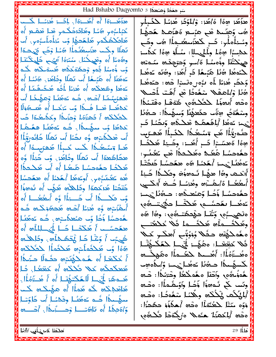Had Bshabo Daqyomto 3 مُحَدًا وَهنعها هدَهَدِ ذَهَ! أَه أَهَدِ ذَهَا. إِذَــٰ هُـٰهَنَــٰ! كَــَــد عِدَهَدَ وَوَا وَاهَدَ: وَالْمَوَّدَ هُدَيْنَا حَدَّبِلُو كَبْلَبْوِي هَـُـلٌّ وِهَٰلِكُلْكُـمِي هَـلْ هُـهْـمِ أُو هُ وَجِنَـدا هُـــ هرُــــمْ هَــَــُمْ هَـَـــمُـــالَمَـــــمُــــالَمَــــــــــمُـــــــــمُــــــــمُ هَاكَدْهُكُم هَٰاهُدَهُا وَ - غُزْلُه أَسرُه بِ أَ-وسُنذُاهدُو: کَــز کُــٰهکُنندهدُا ۞ وحَــٰب تَعَلَّا وكُبَّ هَزَمَعَقُدَاْلِ هَـُـل وْجَبِ هَيْجِـدَا حدثم اهْج أَمْع بِالْمِلْمَاءِ مِنَارَةٍ وَالْمَحْمَدِ وهُومُا أَو وقْبِيكُمْا. مُئَوَّدُا أَبَيْبِ خَلِيجَنَّنْدَا حيكتُنَا وؤُهسُا هَاسِرٍ وَحرْجِدُه سَمْدَه وًٰٮ وُّہ سُل بُھُو وْحَمَّقْتُكُلُّهُ مَحْسَفَىٰكُلُّهِ لَّكُـمْ لأَعْمَاهُ الْمَثَلِ هَبُسُمَا كَبِ أَهْدِ: وَهُنَهُ عَمَعُنَا حَمَمُنْا أَو هَرُحُما أَبِ تَعلَّا وِجُاهَدٍ. وَقَبْدَا أَو |وَحَضٍّ هُٰٓئِنًا لَمَّه بِٱورِهِ مِنْسَرًا شَهِّ = حَمَّهُمَا عَاهُدا وهَعندُه أَه هُزِيُا لَمُدَّ هُدَمَعَيْنَا أَه هُنَا وَالْمَعْلَا سُعُوطًا هُو أُهَّتَ لِمُصْلًا ۖ هْدْئِيْنَنَا أَخْسَى. خُتْ عَاهَنَا وْهِيْبَخْا أَبْ هِ ثُمَّ أَسْهَٰذًا لِلْمُلْكُمِ هُوَهَا وَقَسْدًا تَحْمَضُــا قُـــا هُـــدًا وًب حَرْجُــا أَو هُنـــوَوْلًا وِسْعُفْتُ وَقَفَ حَكُمْتُهُمُّا وَسَهَّيْدًا: حَـوَّمُّا للظُّلْكُم أَ دُهَّتُهُا وْجُبْلًا وِكَذَّهُا هُــ يْ مَعْمَلاً أَبْلَقَعِقَـٰهُ مَحْــٰدَّاهِ وَنِصَّـٰا كَــِ تَذَهَّدَا وَجَدَ مِنْهُمْدًا. شَوَّ عَوَّضُلَ فَقَيْضًا حنَّدروُّأَا هَي وَسَّمَحُمَّا كَحَّرِأَا هُڪرَمِي أَٰٮ مْكِلَمْبْرَه وُه ىضُاْ أَبِ تَعَلَّا خَانُه;وَّٰٰٰٰٓٓاْ الأَهَا وَهَنْشَرًا كُلِّ أُهَٰذٍ: وَكُلِّمَا هَٰلِكُمَّا هَا وَسُعْدًا كَبِ كَبِرَاْ هَٰدِمِيدَا أَه حَقَّوْصُلَّا هُمَّكُمْ وَهُكُحَدًّا قَبْ عُعَّسُرٍ: هدَاهَهذَا أَبِ تَعَلَّا وِدُاهَٰ: ۚ وَبِ دَٰٓئُواْ وُهِ أَعُمُعُكُمْ الْمُحَمَّدُ أَمَّا مِنَّا الْمُحَمَّدُ الْمُعَنَّمَةُ مِنَّا الْمُعَنَّمَةُ مُحْشَا حَقَّوْسًا مُعْدَا أَو أَبْ مُحْدَدًا أَاتَحِمَد وَهُمْ مَحْهَلَ نُبْدَهُوَّةَ وَصَحْبُهُ! حَيْطُ هُد عَعُسُدُوبِ. أُوعَمَدا أَحَمَدُا أَو محمَّدسُا أَعفُعُكُم وَٱرْحَدْ وَهُوَسُكُمْ حُصِرَهُ أَلْكُمِيهِ ۖ كَتْكُمْل هُدْكُهُمُلْ وكُلِ**كْ**تُو هُدُبِ أُو نُوووُلُ حَقَّقْصُلَ ذُكُلَّ وُهِنُعَنَّاهِ : حَبَّهُ لَلْ يَهْدَ وًٰٮ كَـٰـٰـٰٰٰٰٰٓٓٓٓا ۚ كَـٰٓ ـٰٰٰٰٓٓٓٓ أَوۡ ٱُـعُعُثُـٰ ا اُُه موهْدَ الْمُحَسَّمِ مَسْتَمَرَّةٍ مِنْ مَحْمَدَ أَحْذَرْه وُه هُزِئا أَحْده هُدهُوَكُلُّه خُد هَ أَهْمِي مِنْ الْمُسْتَلَّوْمَ مِنْ مَا مِنْ مِنْ مِنْ مِنْ مِنْ هُوصِبُا وَجُا وَبِ هِنُعِكَتِهِمَ هُو مَوَضُلًا ومَكْشُـــه أَنْ مَكْشَـــه مَا ثَلا مُحْمَّتـــح مَعْدَسًبِ أَ مُحْدَّدًا دَٰا لَٰہُ اللَّهُ أَه ەھُەلىۇشە ھىقْلا ۇزۇۋْپ أەتكىر كىلا هُيِّب أَ وَعْنَا حَا هُتَهُكُلُهِ . وِكَلِكَتُه فُلا حُقِقَا: ەمُهُــز لُنُي الكَمُكُمُنْهَا هَهُا وًَــ مَكْثَمَلْتِهِ مَكْثَماًا كَثَكْلُهِ ەھْكۇمْلْل: أَهْسِيمْ بْحْقَسْمَلْلْ مِكْمِنْسُدە أَ حُكْمًا أَه هُـمكهُنَّةٍ حَثَّمَلًا حَبَّـهَٰا لَكْسَوُّسَمَّا وَاسْتَدَانُ مِنْ الْمُسْتَوَاسَةِ مِنْ الْمُدَوِّينَ مُعكَّدُه مُلا مُلكَّه أَه مُقَعُلِ دُلِّ هُوَذُوهُ) وَأَصْلَا وَهُوَجُمُوا وَحْتِنُكُمْ!: حْـهِ هُــومًا: إِنَّي اللَّهَكُنوُهُـا أَو أَهْــرُّهُ اُلْ. وِنَىب ۚ لَي نَـهِووُا ۖ وَجُــا ۚ وَآوُعِـقُــماُا : ه دْــه مَامْدِیْدُہ کُم مَٰداً اُو مِیْکُم کُب أَبْلِكُمَا يُكْدُه وهُدْا سْعُوصًا: وشَه سَمَّسَمًا شَبِّ عَوَّضُلَ وَشَمْسًا أَبَّ جَاوَّسًا وَوَّهِ مَنْتُلِ لِلصُّنَّةِ، أَلَّا هَدْرَهِ أَلْحَلَاَوُوْ حَرَّفُجُواْ: وَاوَحِظَا أَو بَاهَتِكُمْ وَحِسْنُكُمْلَ أَحْسَنِهِ هِ ثُمَّ أَبْلَكْمَ بَاسًا مِنْ الْمَشْمَلَاتِ مِنْ الْمَحْدَةُ مِنْ

مُعْدُمُهُ جَوْمَ مِنْ الْمُعْدَمَةِ الْمُعَامَةِ الْمُعَامَّةِ الْمُعَامَّةِ الْمُعَامَّةِ مِنْ الْمُعَامَّةِ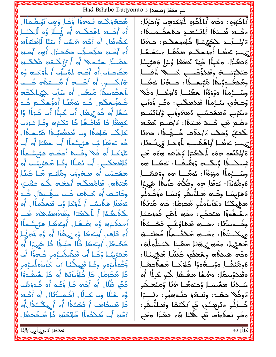مَنْ حَمْحًا وَحَسْمًا Had Bshabo Daqyomto 3 مَتَّ مُحجَوْدِكُ وَ شَوْءُلُّ ذُكُلُّ وُومَا أَوُمِّعُمْلًا.  $\frac{1}{2}$ الْحَرُوْهِ: هِدْهِ  $\int A$ الْحَزِهِ لِمُوَسَدِهِ وَاحِرُنَا $\int \overline{A}$ أَه أَصْـِ مِ لَمْعَكَّـ ۞ أَه لَمِـلًا وُه لَأَلكُـلَّـ وصَّده مُحتمْل أَلْمَنَعْدِ حِمْعِضُومِمَا: كَذُّوهُا. أُو أَحْرَه هُمَّت أَ مَتْنَا لَاهُنَّةَ لَهِ أَه أَحْسَنَ مَدَاحِدًا حَمَّحَةً أَنَّ أَهُمْ أَحْسَنَ يْهِمْ مُوهُمْ أُوفِعْكُمْ مِنْقُمْ وَمَعْمَلَهُمْ حقَبَهُ العَنْمِيلا أَو أَعْ الْكُنْوَةِ فَلَكُنْدِهِ َهُتَعَّنُوا : مَكْبِلًا كَيْلَا كَتِنْتَقَا وُلَى الْمَحْمِنُا ا هدَامِينًا وَالْحَده لِمُسَنَّبِ أَكْتَرَ هُوَ حَكْثِتَــــةِ وقَدْفُقَـــــــ كَــــــلا لِمُفْــــا هَاكَبِ أَهْ أَحْسَنَ أَ مُحَسَّمُهُ حَسَبً وهُدهُــوَمِدًا هَٰٓبِـمــدًا: حــوٰنُا عَومُــا أهدُّه سِدًا هُيعًف. أو سَرَّب كَهَاكَدُه ومِمَـــرُه أَوْ أَوْ وَوَوْاً الْمَعَنُــــا وَأَوْ حُـــا وَثَلا شُەزْىمْكَمْ. شُە مُەمَّىٰا أُەزْمْكَىمْ شُە وُحــةُى مَــَّزُه اُ مُحَاهكَــبِ : هضَرِ وُهَنَّــبِ مَعْمَلِ أَو خُوجَ هَدًا. أَبِ جَدِيَّا أَبِ خَرَدًا وَا ەمئېب ەھككىئىپ ەھھۈۋى ۋالمئىلىم كَعِنْقًا دًا مُُلْكُنُوا دًا كَلْآءِ وَدًا سْرَةَب ەمُــم قب حْــم مُــتمْل: هُ/مُــم كَعْــم خَلِكُت هَاجِدًا وَ تَحْمَدُونَهُا هَزَيْمًا. لَكْتُنُمْ وُحِكْتَ ةَ/حَدَّفَ خَسَهُنَدَاً: حَمَّلًا ثُم عَمَعُلاً وَّب قَوْمِنُماْ! أَب حَقَنَا! أَه أَب : انْاصْلُرِيْ الْكَوَّامْ مِسْمَدُهُمْ الْكُمْضَ فِسْرِرَ عْلَوْكُمْ أَهْ هُلًّا وَقَسِيمَ أَحْشَاهِ فَرَّضِيْتُهَاْ ا ةُ}لِمُضَمِّمٍ وَهُوَ لِمُكْتَبِرٍا وُحَزَّهُمْ وَهُوَ هُبِ دُاهْمِكُبِ . أَبِ تَعَبَّلَا وِدًا هُمْءُبِيَّبٍ أَه وْسِكْسِكَا وُحْكَسِهِ وَاهُبِعُسَاً: عَمَعُسَاً هِهِ همُحسًى أَه هـ7هُوفُ وهُاتـم قدا حُسًا وِمَّكُوماً! وَوَوْدُاً: عَوْهُكُمَا وَهُ وَوْقِعْهَا إِ هُتِمُهِ . هُلِمُعِكُدِ أَحِعْدِ كُـهِ صُنُبًى هُوهٌقىٰٓاْ: عَمَعُا هِهِ وحُكُّهُ حَنَّكُا هُيمُۢا وَكَانَتِ أَنْ يُحَكِّفُ شَبٍّ سَهِّيمًا . شَبّ ەَقْبَسُا وشە ھْللَّىلُو وُنسُل ەۆَشْملُو عَمَعُلَا هِدَّمْسُتَ أَلْمَ أَوْتَدَا وُبِ شَهَدُّهِ أَلْ أَه هْدَيْ كَمُا مَكْلُمْلُوا مُحَرَّهَا: دُو هَٰتِكُمْ ا لَكَمُحْمَدًا أَكْلَحْتَةَا وَهُدَاهُ هَذَا وَهُدَا وَهُدَاءَ مَدَّتَ معَّىفُوټْا هکَتَـتُـب: ەتَّـاھ لَمْعَ ثَـدَوْهـُـل أَه دكَمْتِرْه وُهِ رَمُّمَكُلْ. أُوحُوهُما هِجُنِسُولُه ودُےمىزُىُل: ەشىرە شىملۇتىُـــى كَتقـــىُدُّا محمَّدُ أُمُّهُ الْمَسْتَمَالُ الْمَحْسَنَةِ وَالْمَسْتَدَةِ أُه قَافَ. أُوعَمَعُا وُه يَهْدُا أُه وُه وَهيَا ا حَشَمُا. أَوِعَمَدا ثَلَا حَبْدًا مُا هُيءُ! أَه هَدْئُمَا: هَدَهُ مَتَّمَرُّ مِتَّمَرُّ مِنْهُمْ: فَلَا مِنْهُمْ: هْدْئِهِمَا وْكَا أَبْ هْكُلْكُلّْتُومْ كُلّْوَوْا أَبْ ءَدُه شَيْدَاه وِحْمَيْدُو كُنْتُا شَيْرُ الْ ذَٰكَملُّدُوبِ وكُل قَبِيكُمُا أَبِ كَلَاملُهُ الْجُوبِ هَوهَنُفُــا هوُـــوهُووُا خَاوْنُـــا شَعَـهُحصُــا دًا هَدَٰزهُا. دًا دُازْمَانَه أَه دًا هُدفُوْاً ەھْكۇمىھُل: ەھْھُل ھېقىھُل كُبِ كَبِلًا أُه دُكَى مَّلًا. أَه أَحْمَ دُا ذُكَـه أَه شُـه; مُّـه سَّـــائل معمَّــسًـــل وَحمّه مُعـــل هُـنُل وَهنُعـــدُبِ وُّه هْنُلا وُب كَـرِلّا. (شُـمبِيُّنُلا). أُه أُشْبُه ەُوتُلا ھگىز: وڭىگە ھىگەھۇر: ەڭسىرًا دًا هَسدُاهٌ لَا كَتَفْتُمُّا أَو أَرْ كَتْتُمُّا أَوْ َّكْسَاُلُو ەنگوھىئە كَبِ ٱلْكَتْتْمَا وْتْعَالْمُلُو: آدْه أَبِ مُحْدُمَاً! جَائِجَتْهِ جَا مُحَجَمِعًا. ۔ ہجُر تعکُمات تی ۔ مُکْثَل کا دیگیا ہ مُک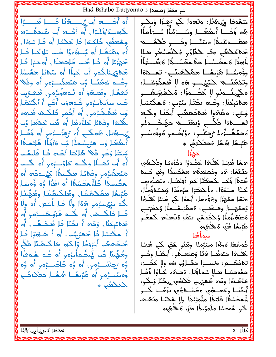Had Bshabo Daqyomto 3 مَحْدًا وَحَسْدًا أَه أَحْسِبِهِ أَبِّيَ أَصْلِحُسَبِيَّ أَحْسَبُ الْمَحْسَبَةِ ا مْعُمُدًا وَيُهَدًا: دَاهَةَا كَمْ رَهِـٰٓ;ا وَّمِكْـم هَه ذُكُــا أَعكَمُــا ومَـَـــْهَـٰا ـُـــِزَاهُ ا لكحك أذَلَمَ لِ أَو أَتَدِهِ أَبِ هُدَاتِهِ وهَعدُه ذَاكتةا دُا تَحكُل أَه دُا تَزَهْلَ. ههَــــهنَّنمُّا مَنْتَـــا وحُـــــو فَكَـمُـــــــلا أُه وكَنْقُـا أُه وُـــوُّهوُا كُــد عَاوَيْحَـا حُـا هْكَكْفُبْ هَمُ كْذُاوُرِ هَكْثَمْتُو هَلْا هْدِيُنَا أَو حُـا هُـب حَاهِمْ اُلِّ أُوحِيَا حُـا لْمَوْلَ هَهَمْسُهِ احِكْمَتْسُمُّا وَرَهُمْ يُزَلُّلُ قَدْدُقِي مُلَكُمْ إِنَّ تُدِلًّا أَو سَكْلًا هُمُمَا الْمُسَلَّلَ وِذْهِ سُلَّمَ هُـُـمُـــا هِهَدْهُمَــّبِ : تَـمــدْةَا وحُـــه مُعَقَّلًــا وُبِ عَنْعَكَمَــــرُهِ و أَه وقُلا وتَكَمَّكُمْ حَسَّيْكٍ وَهُوَ لِلْمُحَمَّوْمُتُدَا: تَعمُّل وهُنتهُوْ أَنْ شُوهُوَّيُّونِ هُدْعَوِّب ەڭخىشەئو لا خْشْــەۋَا: ەَٓىدْھَزۇمەگـــو كُتَ مِلْأَنْدُومِ كُوهُوْبَ أَكُنْ أَكْتَهْا مْحَدَّدُهُا: وحْــه بحُثْـا مُبْتِ : هَــمَكْتَسْـا وًٰٮ مْكَلّْكُلّْمَوْمِ. أَو أَخُومٍ كَالْكُلُّفَ مُّدودة وُجَّى: ەھُةَوْا شَدْخُعِعَى أَحَطُ وِكْـِهِ لِلْكَتَهُ! وَشَمْئًا كَالْمُوطُ أَو هُب تَحْمَعُا وَب تَمَـــٰـٰاءَا ثُكَـــبِ وَنَعَنَــَــٰبَ حَهَّنَــُـــٰءَلُر يُ هَمَلُا. هَمكَ أَه رُقِنَتُومِ أَه ذَكَـا ەَھھَقَىــأەل*ا ژ*ھ*ئل*ىر: ەو*ُاھْــ*ەر ەَوۋەم*ئــ*ر أَعكٰتُكُمْ وَّبِ حَتَّى الْمُحَادُّا وَّبِ كَاوَّأَا كَاتِمْكَا ا هَ مُمَّا هُمَّا هُحثَّلاَكُمْ \* وَمَنْتَا وَدُرٍ ثَلا هَاكِنَا أَدْنَ دُا فَاتِمُت هُهُا هُنسًا لَمُدُهُ! يُضُموُ! هذُهُمًا وضُدْهُهِ، أَه أَبَّ تَصَبَّلَا وِكُنَّهُ تَدَاوُكُونَ أَه كُنَّب حَتَّنَتُمَا: 6ه وحُمَتْعَدْاً مَعَصَّسُمًا وقَعِ شَــدْ منُعدَمُّوْمِ وَحْمَـٰا مَكَـٰمَاْ تَيُّـِمَدُّهُ أَه مُتذَا وَّكُب كَمِعَتْنَا كُم أَوْكُبُدا: مَكْتُوه هِجَسِيدًا خَلِلْهِجَسُدًا أَو رَهُدًا وَو وُوسُل كَتْزَا حِسْوُوًّا: مِلْكِعَّتِ احْرُوكْتْرَا وَمِحْكِرْوُمِلَا: هَّنِمُ مِعَكِمَّيْلِ. وَهَلِكُبِّيْنَا وَهُكِيِّنَا وتَغْلِ حِنْهُمُوا وِرْهُ وَمُعَانِ أَحْمَا ۖ كُلَّ هُدْنَا كَلَّـٰهُا ۖ لَّٰہ مَّےۡـِرُہٖ وَہُا وَلَٰا کُل لَٰہُو ٖ لَٰہٖ وَلَٰا لَٰہُ وَحِدْهِـــزُا وِهُــزِهَـــرِ : هَحكَيُــهُـــملُّا وَحكَيْتـــر صًا مُلكَّسِدٍ. أَو كُنْتُمْ فَرَؤْتِهُنَّوْمٍ أَو ەَحَلَّەُ نُوماً كَحَدَّمَى سَمَّ: ەَبَّەتْ9 لَكَمْعُب مْدْكَرِكْتُا. وْدُّنْ أَ تَحْتْلْ دَلْ شُتّْصَفُ . أُه أَهْبَعُا هُنَّ هَ الأُهَبِّ أَ هَكْتَسْلَ دُلَّ هُدَءُبُبُبٍ. أَن أَ شُخْوَا دُلَّ حمأها مُتَصَّحْفِفُ أَعْرَفُطْ وَاحْدِهِ هَالْحُتَمَيْلَ فَكُلِّ ثَّدِهُمُّا دَوْدُاْ دِمَّبُرْهِ أَا وِهْنُو هُبْ كُلِّ هُزْسًا وهُدُمَنَا كُبْ يُبْدُهَلُّرُهِ بِ أَهْ كُبْ هُبْوَفُرَا لْكُلُّهُا حَمَّمُصًا هُٰلًا وُهِنْعَــدُّبٍ: أَحَضُـّا وحُــبِ تَدَكَّصُـــم: ەتَـــــــمْ| حَكَــاوُـِر ۞ه ولاٍ حُكَـــۃ: وُّه رُحِنُنُــــرُهن. أَه وُه خَاخَــــرُهن أَه وُه حمُّدمُسًا هـلا شُـمارُّنَا: هَدْهُه كَـاوُا وَّدُـا ؤْەسّىسۇەم أە ھَزْتھا ھُھا جېڭلاڭپ مَامَّدهُا وحَمَّدَ مِنْ مِنْ مِنْهُ وَحَمَّدَ أَشْمَاهُ مِنْ مِنْكُمْ وَحَمَّدَةً لمُلْعُب \* أُمَثِّسًا وكعسةُ وحَميُسْكِيهِ وأَهْبِ بَأَهُمْ: كُسِرٍ لْمَصّْدُا فَاتْدًا مِلْوَيْدًا وِلِا عْمَـٰـًا مَثْقَـٰفُ بْكُرِ بِغُوصِبُا وَأُوَوِّيْهُا هُنَّى وَ*بِّلاُوَّى،* 

مُحدَّمُنَا ۚ يَهُ مِنْ أَسْرَاءُ أَسْرَاءُ مِنَا ٱ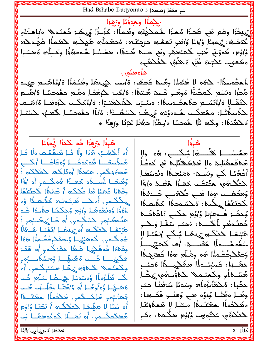Had Bshabo Daqyomto 3 مُحَدًا وَهنعها

رجمأا وهوذُا ورُهِزًا

يَجْتَزُا وِهُمْ هُمِ هَمْرَا هُمْ الْمِكْمُ، وهَدْ الْمُحَمَّدُ الْمَحْمَّدِ الْمَحْمَدِ وَهُوَ وَالْمَحْمَدِ كَتْصَوْهُ: يُحوْمُ إِلَٰهُمْ وَالْقَدْمِ عَلَيْهِ مِنْ اللَّهُ عَامَلُهُ عَلَيْهِ مِنْ اللَّهِ مِنْ الله وُٱوُم: هَٰدَوْمَةٍ هُـٰٓ: كَلْعَنُعَكُم وقع صَّـد هُـتذَا: همَّـسُـا هُـدَدهُوَٰا وكَـبِلُمَّ هَعَـنَـٓ؛ ەھُھۆپ كەتتە ھُزَى ەَللُكَى لْمُلْكَىمِ ۚ عزّەمشەر.

لْمَحْمِسِمَّا: حَجَّه لِلْ هُنَّمَاً وهُنَّهُ خَصَفَّرْ: هَ/سُبَّ حَكَيْبَهُا وَهُنَّمَا هَ/لَمْعُنَّ حَكَبَ وَ هَٰدُا وَيُسْعِ كُعِصَّةًا وَوْقِبٍ شَيْءًا هُتَمَّاً: وَأَجْدَعَ كَبِقَقَا وَهُو حَقَّوصُا وَأَهْتُم لِكَنْقِيلا ةَابْلَتَسُعِ حَمْعَصُومِكَا: وَسَبَّى لِكُلْمَعْتِبَا: ةَابْلَكْكُبْ لِأَوْهُدَا ةَاشْبِقْ لْمَتَمْتَمَا: مِمَعْكَمَا الْمَاءُ بَيْنَ مِنْكُمْ وَالْمُسْتَمَاءَ مَنْكُمْ مَنْكُمْ لَمَنْتَمْ لَ هَ حَمَّتِهْ!: وِحْمَدُ عَلَّا هُوَجِبًا وَإِجْبَا حَمَّوُلُ حَبَّلًا وَرُهِّزًا \*

هْبِوًّا وَرُقِيًّا هُمْ كَلّْدَا لُهُوُّمَّا أَه أَحْمَٰــَىٰ هَٰهُ! وِلَّا حُـا هُـعَـَـَـٰـَـٰ مَـٰلًا حُـا مُعدَّمِيتَـــا مُدَيَّدِيَـــا وُدَيَّــَــا أَيْحَــــ هُدهُوَجُدِرٍ. منْعَدًا أُوطَكُم حَثَكَتُهِ أَ وَهُبِصَا لَمِينَ وَ حَقِيرًا وَ وَهُمَ اللَّهِ وَإِذَا وثَّهْمًا دَهِمًا قَدا شَكْدُهِ أَ تَّتِهُاْ كَحَتَّتْهُا حِكْكُمْرٍ. أُمْكُتْ هُرْشُمْتُتْهُ كَذَّلْبِكُمْ وُهِ لْمُؤْا وُمِنْعُمْعُكُمْ وُهُوَ وَحَكَّمَنَّا كَمَّنَّا هُـم هنُـهمُدُوم كَـشكُــم، ، أو خُــل كِـمَّـــرُوم أ الْمَتَمَا لَحُذَكَ ۞ أَوْ يَعْمَا إِنْمُنَا هَـ وَالْمَا رُهُ مِكْتُوبِ كُوهِيُّ أَرْجَعَكُمْ وَحَفَظَهُمْ أَرْدَهُمْ أَرْدَةً وثَّهَةَا خُوفُكُيا مُبْعُل هِفْزِكُمْ إِنَّ قَضْرَ فَكَيُنَـٰٓا مُـُـَـَّبَ هُفُنُهُـَـا وُوَتَبُلُمَــــرُورِ وكْمُنُمْلًا كَحَارّْهِ حَضًّا مِسْتَرِكُمْ، أَه لَّكَ هَٰلُؤُهِ أَلْ وُهِيْمَا جَرْبِيهَا سَنُو كُب هَ هَٰـٰهَٰـٰـا وُه اُوهُـٰـا اُه وَاهَـٰنْـٰا وكَاُــِنُـٰ هَــٰـٰ بَعْنُوْمٍ هَلْكُسْكُوبِ. هُلْخُواْلْ هِعَيْنُمَاْل أَه مَتْأَ لَا هَهُنْدَا حَثَكَتُهِ أَ تَحْنَا وُاوُم مُعكَّدِّـــونِ أَو تُعَـــلَّا كُوثُوهِمُـــل وُبِ

<u>شوُا</u> مْحَافَ**ح**مُنُإِنِّ وَلَا مْحَمَّحَكْنُإِنَّ مْجَ خُوصًا أَحُرُّمُـٰا لَكَ وِنُسَـٰهُ: هَٰهَنُعَـٰهُ! هَنُمْنُـُـا لحَفْدِهُورٍ حَقَّتِهُب جَعِبُرا حَقْدِهِ وَإِذَّا وَْهِدَهَـــد هِهُ أَهْــــم تُكْشَــــم تَـــــْزَيْدًا لضَعَنْتُمَا لِمُحَمَّدَة : مَكْرِ لَعْنَتْصَدَّا وَحدُ : فُــومرُنُا وُاوُم حكّب أَبادَكَــدَ كَعنُــْممُـرِ أَلكَــْـــدْ؛ هُحَـّـرِ مَنْقْــا وُـكْــر هَيْتَمَا حَدُكُمْ رَحْمَةٍ وَحَكَمٍ إِنْمُنَا لِلْإِ سُعُومُ وأَمْ مَتْسَـــهِ: أَو كَحِبُيْـــا وَحِكْدِحُشُمَاٰ! هَء وِهُـٰلَمِ هِءُ! خَعْرَجِـٰهُ! حصَّـۃا: ضَبُرُسُـماُ! محفّكَـہــدُا ہُحنَـــہِ كَّرَ رەڤْتَةَ 2⁄4 كَمْتَعَمَّلْ بِلْمُسْمَر حَدِّياً: هَٰٓكَعَّنُّنُّوَهُ۞ ومْعَمَّا مَّنَوْهُمَّا حَسَرِ وهُــا هِهَنُــا وُوْوَه هَــب وَعنُـــر هَـضَــها. وهَكِدُواْ هِعَيْنُماْ وَعَيْنَا لِلْهُوَهُوَيْنَا لْمَشْلَةُو، كَثَبُوهِبْ وُٱوُمْ هَكُـمْهُ: وَضُرِ

مَعْدَهُمَا جَهْدِهِ الْمُحْمَدُ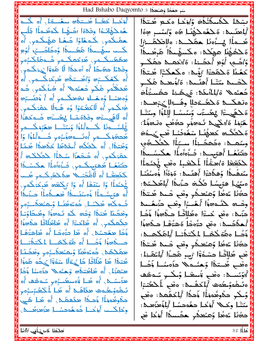Had Bshabo Daqyomto 3 مُحَدٍّ فَي Had Bshabo Daqyomto 3 لسْمَا لِلْمُسْكَنُكُمُ وَاٰذِكْراً مَكْمِ هُـتَدَاْ أُوْجُعا كَعَمَا مُحْتَمُ مِنْ مَمْكُولِ أَوْ كُنْدَ هُدحكٰهُالَـدُا وذَهدَا احُـجُـا حُدمَحْـداًا ذَلَٰبِ أَبْلِعِنَّــماء: هَـلْـهُـمَـلْـهُنَّـا هَء وَّاسْنَــر هِءَا َ مَمَّنْدُورِ. ݣُـٰدَمَّاوُا تُنمُّا مَهْنْدُورِ. أَو هُــولُم لِــزُونُا هِمَكْــدْ: ولِلصَّكَبِـرُزِل لْكْسَبْ سَهَّسَمًا هَٰهَسَمًا وُوَجَاجَتَ ﴾ أَوُم ەَحْمُهُمُّا مِهْكُمْ: مَكْسَهُمَمُّا مَّرِمُحِمَّا ھھكسگــمر. ھَركمگــمر ڪُــممُلگـرُمر وَاحْسِي أُوُمِ أَحدُ : 1: 16حك حمُكْس وفَّهْنَا حَقَيْحًا أَهْ أَوْجَعُا لَّا هُوَرَّا حَذَّرَ وَجَعَدِ كَمَّسُلَ هَكَمَّدَا رَؤُكَ: مَكْمَكَّثْرَا هُـتَمَّا أَه كَمْكَــْمِ وَاهُــتكُمْ هُرِكْنِگَــُـمْرٍ. أَهْ لحصْمه مَتْنَا أَقِسُمْ: هَازُمِعِيهِ مُكْسِر مَكَلَّفُہِ مُكْبِ تُعتُمِيْ أَهِ شَاكُمْہِ. ثُبُّه خَالْمَ: شَاعْطِ مِنْ مَاسَوْتُ مِنْ مَاسَنَةً مِنْ مَسْتَمَرِّيْتَ مِنْ مَسْتَمَرَّةٍ مِنْ مَسْتَمَ وُەھنىل ۋە ھْسار بەھىگىمرا أە أ ۋېتىسىرە وتعكك مَحْعَّدَما وصَّة لِلْكَرْمِدِ: هُرَكُم أَه لَلْكَعْتَوْا وُه فَـٰزَالًا حَمْزَكُم ِ. كَتْحَمِيتْرَا لِمَحْسَنُو وَمُعْمِدًا لِلْلَوْْا وِمَتْنَا أُه لَافَي شَرْه ودْلاهَ مْسْ لِمَحْسْرُه كُــدِكْرَا هَزَوْءُ ٱلْأَمْرِيكَ شَعْرُو وَهُوَ حَمْلِهِ وَسَعَوْءُ: يُأْمُدُ وَمَا يُكُنَّ وَأَمْلُوْا وَمَنْتَسَلَّ مَعْمَرُوْ كُنْدُوب مَحْدُد مَهَ الِنْمُهُمُ الْنُهْمَدُ مَكْتُمُهُ كَحِدَةَ وَحُسَّــدِ أَدْتُــدِهِ وَمَرْدِمِ ۖ هُــدَأَمْلَوُّا ۖ وَا ومَّعِيهِ: وَجُعِجَيْرًا مِيءُاً لِحَكْثُوهِ وَهُتِمْلَ. أَو لِكَفَكُوهِ أَجْدَهُا كَذَاهِدُا هُمَّا حَتَنَتُمُا أَحْرَى الْمَوْتَ : شَوْءَأُه أَمْلَ الْمَكْسَسُمَا حفَزكُمرٍ. أَو حُجْمَرًا سَكِلًا كَحَكْكُم أَ لْحَكَقِهَا هَاهتُمُّا لِمُحْشَرِا مِعْدٍ يُحِدَّمُاْ! حَتَنَهُا مُحْجَبِكُونِ. ضُرُّوأُولًا هَكْسُدًا مَعْصُمُا وَهِكُوتَوَا أَهتَــدا : هَوْهُ، وُصِمُتُـا كَكُعَقْدَا أُه لّْأَهُّدُهَا مَذَكَّفَرِكُم مُحْتَ مَيُّهَا هَجَيْسًا شَكْتَ حَبَّمًا ٱبْلَعَٰلِــُـٰهَٰ: لِّحْتَماً وَا سَتَقَالُه وَالرَّجْعَةِ هَرِكْزَكُمْنِ. حدُّلًا عَمْدًا وَهنُعِـدُمٍ وَهْدٍ شَــدً هُــتذًا أُه فَجَيِشُما أَوْمِنْنُمَا أَتَّتُمْ أَمَا الْمَسْتَمَاءُ الْمُسَلَّدَةُ ا ئىمكە مَكتار خُمەمَتار زىمتىمگىزەر وحْده للنَّــه\$أ أَلمُبْ¦ وهْب حَزْمُــمط ومْكَسًا مُّتَمَّا وْدُه كُم نُـهِوذًا ومُّنكَاوَتِهِ دَّمِيْ : وقْعِ كَمِنْزَا وهَٰلِلْقَبِلِ دِيْرُودُا ذَكَر مِكْمِكُمِرٍ. أَو هُاكِتْرَا أَو هُاهُلَاتْا حِكْلُوْا أَهكُصُبِينَ وَهُو حَتَّوَهُا وَهِتُوَهَا حَكَّاهُوَا ذَكْر محَكَمَدَ. أَو هَٰذَا حَتَّوَهْدَا أَو هَٰذَاهَتُوْهَا. ذُكُــا وهُـْمَـدُهَــا لِمَـُـتَدُبَــا ٱلِمَحَدَّمــد : حَـــدَّهُوُا وَٰحُـــا أَو هُٰتَكُهُـــا لِكُتِمُّتَــا حَمُّلًا عَمَٰدًا وَعِنْعِـدَامٍ وَمْعٍ شَــٰهِ مَّــٰتَـٰهَّا معَكْتُكُمْ. شُمَمَعُمُلُّ وَيَعْتَمِكُمْ وَمِنْ وَهُكُمَّار هَبِ هَٰلِاَتْ احِسْـهُوْٓا ۚ رَبِّ هَٰدُۥٗا ﴾َ الْمَعَـٰ:ا ، مَّتمْ الْمَمَا تَعَالَيْهِ مَا مَعْوَّا حَمَّةً مَّا مِّهَ مَعْوَّا مِنْ مَعْدَ وهب هُــتمْلَ وَهنُــولا حرُومُـــل وُحُـــل هكعَبَٰدُ. أَه هَٰاهُتِكَاه وْهِنُما الْحَامِمَا وَكُلَّا أَاؤَسُسِكَا: ەقْبِ قُنىغْنَا وُنِكْسِر سُـەھْف هدَسَنَــد. أَه هَــا وُّهبعَنْــرُهنِ سُـهڤف أَه وَتَتَجَادِّعُوهَا أَبْلَكَفَـٰمِكَا: وَهْلِ الْمَحْكَبَـْمِ ا سُمُّهوٗىعُــهِ مَكَافَــهُ أَه هَــا لِمُتَكَمَّــُّومِ وًىكُمْ حَكْوِهُودُاً أَحَكًا ۖ أَبِلَكَفَعِهِ: هَيْ حكْوِهُدومُاْ وُحِـدًا محكَمِكِمْ. أَه مَحَـل هَـي مَتْنَا وَحَكَّ أَوْحُا حَمَّوْصُا أَبْلَوْهَ وَحَكَّ وكالكب أُوجُبا دُوهُوصُبا مِزْمِرْهُكِ. حەُنَا عَەھَا وَهنُعِدُنِ حَصَينِدًا أَوْجُا هَي

مُعْدُمُهُ جَوْمَ مِنْ الْمُعْدَمَةِ الْمُعَامَةِ الْمُعَامَّةِ الْمُعَامَّةِ الْمُعَامَّةِ مِنْ الْمُعَامَّةِ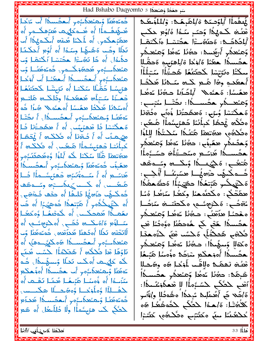Had Bshabo Daqyomto 3 مُحَدًا وَحَسْدًا خُومُوهُمُّا وُحِمُعِكُمُرُونِ أَنْعَضُبِيكَا أَبْ عَرْجُنَا لْمَعْمَلُهُ أَبْلَوُحِكُمْ وْلِمُجْهَدٌ: وْلْمَلْوَّبْهَكُمْ مَّكِمُفْداً أَو هُـدكَنِيها هُبَوْكَـدِرٍ أَو هْنُةَ كَـٰهِكُمُّا وَجِئَـٰٓ مَنْـٰهُا هُاوُم حَكَـٰب هكَيْمِكُوبِ أَو لَمَكْنَا هُنْتُو أَيْكُولِكُا أَب أَلْمَحْكَــدُ: هَمَنُهُـــتْزَا ــعَمَّتـْسْــل هَرَكْتَـهْــل تَكْلًا وحُــد هَٰ هُـدُ الْ ومنْـدُا أَه أُوُم أَحكْـمَـٰا وَهنُعكُمْ أَرْهَٰىبِيهِ: حَمَّلًا عَمَّدًا وَهنُعِيكُمْ حِدِّمَا. أَو حَا نَوْجَا حِجَّتِمَا ٱلْحُتِمَا وُبِ لِلْضُمَامَ مِنْ الْأَوْلَاءُ الْأَمَامِيَّةِ وَالْمُسَمَّدُ ھىككىگەر ھُدەۋڭىمر. خەتەھىلا ۋە سكتُا وتَوْتِسْا كْحتّْنَعُا هُدّْرَاْ مَتْرَاْلُهُ! هنُعدَامِيَّونِ أَنْعَجَبْنِيْدَا أَنْعَقَبْنَا أَبِ أَوْجَبَا أحفكت وها هُنع كت سُلمُنَا هُكْشًا هِ السَّالِ حَقَّالِ مَكْمًا أَو تَوَجِنَّا لَكَحَتَنَعُا همَّسُل: هَمْتَهِ ﴾ [الْحَــالِ دهُ لَا عَمْد تْعَبّْطْ سُتِرْأَه هُعْهَدْهُ ا وَكَّالْحْدِهِ هَائِيم وَهِمُعَـــدُو هَجَــــدُا: تَخُتْــا مُبْتِـــو: أُوسَكِيْلَ هَٰلَكُلِ هِمَّسُلٍ أُوسِيَّوِيْ ﴿ وَمُرَارَضُو هُـعثَنتنا وُـرُب: هُمدهُـدَّاْتَا وُهَّابٍ هَدُهَنَا عَمَّصًا وُحِمُعِكَمِيَّومِ أَحْضُسِيكَا. أَ بِكَتْبَا ءدَكُم لِّحمُا كَبِلُنُا حُعَبِّبِنُماْا هُمَّب هَ مَكْتَسْلَ دُلَّ مُعْمَيْتُ . أَن أَرْ مَعْصَتُوْلَ دُلَّ ودُكْرُومِ مِدَّتِمِيْلِ هُتِيُكُلٍ مِّكْتُكُلِّ لِلْلَوُّلِ مَيْهِيَنِ أَو أَ حُبْوَيْلِ أَو مُحْكَمِهِ أَ يُخْفَطِ |وَحَصَّلاً وَحَصَّرْفَا = حَمَّلْ مَّاهُدَا وَعَنْصَدُم كَرِلْتُمْ دْهَرْسْمْلْ هُيعُبٍ. أَو ضُكْدُرُ أَ هَشَسَـدًا هَٰزئــم مَنْصَــّْزَٰهُ صَنَّــرُهِ أَا مدەّتمثا مْلَا مَتْدَا لَكُمْ أَلْمُوْا وُومُدْهِكْتُوْو هُتْهُبٍ: هَڪْيَبُمُّا وُجْڪُدُ وُڪُمْهُو ھكرؤًا خُمكمكَنا وُلعِنْعِكَلْوُور أَلعَضُنَدَا شَــهكُــهُــ حْتَمهُـــا هسَّـِـتُــا أَلَــلِـــح : هَٰزَعُـَــمِ أَه أَ مَعْـــه وَّنَـٰهِم شَعَبُرِمِشُــهِ أَا ضُــا المُصْحَمَة الْمِرْتِعْمَ الْمُمْتِهِمْ سِلْرِينَكُمْ صَعَف، أو لَكَسَبَ بِمِلْكِسِرْهِ وَيُسْوَقَف ثُمكُنِّب دَرُهلُا دَٰلِغًا أُه حثْف ثُـءْآهُم . همَّدَكُن مكْتِشْهِمُا وِكْتُدا مُزْتُدا هُسُا أَه لِحَيْلِكُمُورِ أَ هَبْتِعِمُ ا خُوصَهُ إِلَهُ مَّت ئةكُب مَحْتِهِ مُحْتَمِدَ مَتَحَمَّدَ مُنْكُسَلَة بِمُعَنَّمَا مُعْجَكَبٍ أَوْ يَكُوثِبُهُنَا وُوَجُعُنَا ەھْھئا ھەقئې : ھەئا ئەھُل ۋەئھىدُر سُماؤُم هَاهَ كُلُّ هُ دُكٍّ. أُمكوَّ عَبْ أُه ِ هَـمَـسِدًا ۚ هُـٓىٖ ۖ ۖ هُـوَحَمُنُا وَوُوحُـُا مَّى لَّائَحْتَمَ بَجِلًا أُوجُعِبُل هُجِرَّهُمِ . جُوجُوهُلُ وُبِ صَّلَاهُمِ هَعَنْفُلُّ هَـٰـُسَـٰ شَمِّ خَنُّهِ هَـُـُـل هنُعدَهُـــرُه لِمَعْمَـــدا هُمكَّنِّــوفَ أَه وكقال وُسهُبدًا: حـوُبُل مُوهُبا وُهِنُعَـدُر تَاوَهَا مَداً شَكْدُه أَ هَضَكَهُاْ لَحَسَبٍ هُنَّے لمصَّنبِكُمْ أُومْهِكُمْ سْرَكُمْ وَوُوسُا هَرُبِهُا لَّكُمْ كَايُنِيهَا أُوكُنَا تَجَلَّلَا وُسْتَهْتِمَاً. فُتَمَّ هْنُـة تَـْحَكَــدْ وَلِلتَّــبِ لَمُؤكِّــل هَو وَهُــمَــللَّا غَمَعُلًا وُجِعِنُعِكُمْ وَمِن أَبِ بِمَكْسِيمًا أَوْفُعِكُمْ الْفَرِهَٰ\$: حَمُّلًا غَمْعًا وُهِنُعَدُّنٍ هَضُسْدًاً مَنْصَدًا أَو ذُومُنَا هُرُهُنا قُسْلَ تَقْبِعَا أَو أَهْبِ لِحَثَكِ لِكَسُبُّوءُاْ إِلَّا هُمَكُّوْسُمُا: لِكَفُّالُهُ وَمَأْفِكُما وُمَوَّمَصِيْلًا هِكْسِيبٍ. َهُ/كَـٰه کَے /ۖهُـٰىئُإىـط ـُـْبِـٰدِهُۦ ۚ هُـُوجُلِإِ ۖ وِإِرَّْاٰسِ دُّەمُەمَدًا وُجمىھكاڭەر أُجمعَينىڭا مَجبَرە لَحْلُمُتْا: هَ/حفًا حَثَكَم حَثَمفُعُا هَء لكثَكِ لَك عرَّضِنُماً! وأَلَّا تُللَّمَعُلَ أَن هُم ِ كَلَاهُنا مِنْ مَكْتَبِ وَكُلْمُوهِ كَشَرَا

مُحْدُثُنَا جُوبُ مِنْ أَوْمَاءَ الْفَصْلَة